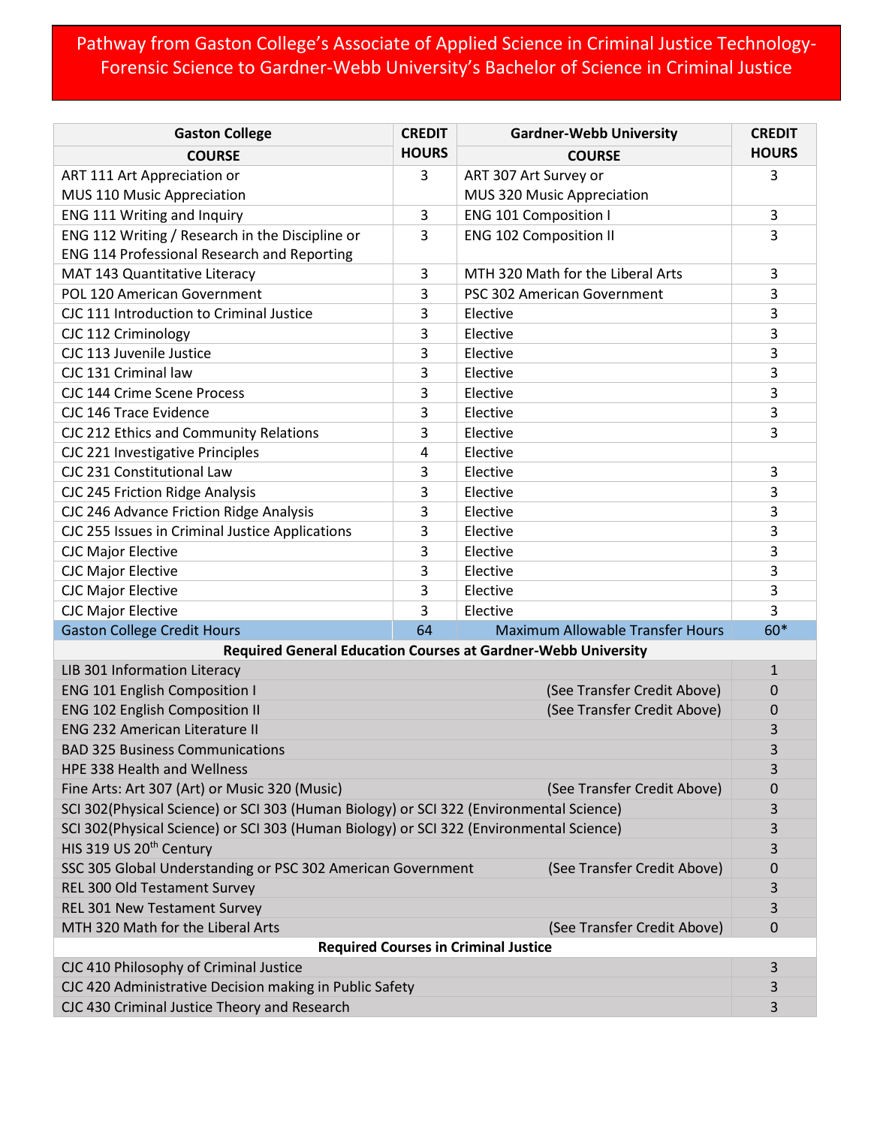## Pathway from Gaston College's Associate of Applied Science in Criminal Justice Technology-Forensic Science to Gardner-Webb University's Bachelor of Science in Criminal Justice

| <b>Gaston College</b>                                                                   | <b>CREDIT</b> | <b>Gardner-Webb University</b>                                       | <b>CREDIT</b> |  |
|-----------------------------------------------------------------------------------------|---------------|----------------------------------------------------------------------|---------------|--|
| <b>COURSE</b>                                                                           | <b>HOURS</b>  | <b>COURSE</b>                                                        | <b>HOURS</b>  |  |
| ART 111 Art Appreciation or                                                             | 3             | ART 307 Art Survey or                                                | 3             |  |
| MUS 110 Music Appreciation                                                              |               | MUS 320 Music Appreciation                                           |               |  |
| ENG 111 Writing and Inquiry                                                             | 3             | <b>ENG 101 Composition I</b>                                         | 3             |  |
| ENG 112 Writing / Research in the Discipline or                                         | 3             | <b>ENG 102 Composition II</b>                                        | 3             |  |
| <b>ENG 114 Professional Research and Reporting</b>                                      |               |                                                                      |               |  |
| MAT 143 Quantitative Literacy                                                           | 3             | MTH 320 Math for the Liberal Arts                                    | 3             |  |
| POL 120 American Government                                                             | 3             | PSC 302 American Government                                          | 3             |  |
| CJC 111 Introduction to Criminal Justice                                                | 3             | Elective                                                             | 3             |  |
| CJC 112 Criminology                                                                     | 3             | Elective                                                             | 3             |  |
| CJC 113 Juvenile Justice                                                                | 3             | Elective                                                             | 3             |  |
| CJC 131 Criminal law                                                                    | 3             | Elective                                                             | 3             |  |
| <b>CJC 144 Crime Scene Process</b>                                                      | 3             | Elective                                                             | 3             |  |
| CJC 146 Trace Evidence                                                                  | 3             | Elective                                                             | 3             |  |
| CJC 212 Ethics and Community Relations                                                  | 3             | Elective                                                             | 3             |  |
| CJC 221 Investigative Principles                                                        | 4             | Elective                                                             |               |  |
| CJC 231 Constitutional Law                                                              | 3             | Elective                                                             | 3             |  |
| CJC 245 Friction Ridge Analysis                                                         | 3             | Elective                                                             | 3             |  |
| CJC 246 Advance Friction Ridge Analysis                                                 | 3             | Elective                                                             | 3             |  |
| CJC 255 Issues in Criminal Justice Applications                                         | 3             | Elective                                                             | 3             |  |
| <b>CJC Major Elective</b>                                                               | 3             | Elective                                                             | 3             |  |
| <b>CJC Major Elective</b>                                                               | 3             | Elective                                                             | 3             |  |
| <b>CJC Major Elective</b>                                                               | 3             | Elective                                                             | 3             |  |
| <b>CJC Major Elective</b>                                                               | 3             | Elective                                                             | 3             |  |
| <b>Gaston College Credit Hours</b>                                                      | 64            | <b>Maximum Allowable Transfer Hours</b>                              | 60*           |  |
|                                                                                         |               | <b>Required General Education Courses at Gardner-Webb University</b> |               |  |
| LIB 301 Information Literacy                                                            |               |                                                                      | $\mathbf{1}$  |  |
| <b>ENG 101 English Composition I</b>                                                    |               | (See Transfer Credit Above)                                          | 0             |  |
| <b>ENG 102 English Composition II</b>                                                   |               | (See Transfer Credit Above)                                          | 0             |  |
| <b>ENG 232 American Literature II</b>                                                   |               |                                                                      | 3             |  |
| <b>BAD 325 Business Communications</b>                                                  |               |                                                                      | 3             |  |
| <b>HPE 338 Health and Wellness</b>                                                      |               |                                                                      | 3             |  |
| Fine Arts: Art 307 (Art) or Music 320 (Music)                                           |               | (See Transfer Credit Above)                                          | 0             |  |
| SCI 302(Physical Science) or SCI 303 (Human Biology) or SCI 322 (Environmental Science) |               |                                                                      | 3             |  |
| SCI 302(Physical Science) or SCI 303 (Human Biology) or SCI 322 (Environmental Science) |               |                                                                      | 3             |  |
| HIS 319 US 20 <sup>th</sup> Century                                                     |               |                                                                      | 3             |  |
| SSC 305 Global Understanding or PSC 302 American Government                             |               | (See Transfer Credit Above)                                          | 0             |  |
| REL 300 Old Testament Survey                                                            |               |                                                                      | 3             |  |
| REL 301 New Testament Survey                                                            |               |                                                                      | 3             |  |
| MTH 320 Math for the Liberal Arts                                                       |               | (See Transfer Credit Above)                                          | $\pmb{0}$     |  |
| <b>Required Courses in Criminal Justice</b>                                             |               |                                                                      |               |  |
| CJC 410 Philosophy of Criminal Justice<br>3                                             |               |                                                                      |               |  |
| CJC 420 Administrative Decision making in Public Safety                                 |               |                                                                      | 3             |  |
| CJC 430 Criminal Justice Theory and Research                                            |               |                                                                      | 3             |  |